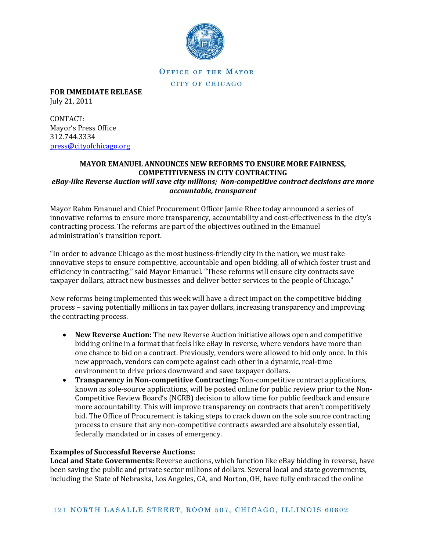

**OFFICE OF THE MAYOR** CITY OF CHICAGO

**FOR IMMEDIATE RELEASE** July 21, 2011

CONTACT: Mayor's Press Office 312.744.3334 [press@cityofchicago.org](mailto:press@cityofchicago.org)

## **MAYOR EMANUEL ANNOUNCES NEW REFORMS TO ENSURE MORE FAIRNESS, COMPETITIVENESS IN CITY CONTRACTING**  *eBay-like Reverse Auction will save city millions; Non-competitive contract decisions are more*

## *accountable, transparent*

Mayor Rahm Emanuel and Chief Procurement Officer Jamie Rhee today announced a series of innovative reforms to ensure more transparency, accountability and cost-effectiveness in the city's contracting process. The reforms are part of the objectives outlined in the Emanuel administration's transition report.

"In order to advance Chicago as the most business-friendly city in the nation, we must take innovative steps to ensure competitive, accountable and open bidding, all of which foster trust and efficiency in contracting," said Mayor Emanuel. "These reforms will ensure city contracts save taxpayer dollars, attract new businesses and deliver better services to the people of Chicago."

New reforms being implemented this week will have a direct impact on the competitive bidding process – saving potentially millions in tax payer dollars, increasing transparency and improving the contracting process.

- **New Reverse Auction:** The new Reverse Auction initiative allows open and competitive bidding online in a format that feels like eBay in reverse, where vendors have more than one chance to bid on a contract. Previously, vendors were allowed to bid only once. In this new approach, vendors can compete against each other in a dynamic, real-time environment to drive prices downward and save taxpayer dollars.
- **Transparency in Non-competitive Contracting:** Non-competitive contract applications, known as sole-source applications, will be posted online for public review prior to the Non-Competitive Review Board's (NCRB) decision to allow time for public feedback and ensure more accountability. This will improve transparency on contracts that aren't competitively bid. The Office of Procurement is taking steps to crack down on the sole source contracting process to ensure that any non-competitive contracts awarded are absolutely essential, federally mandated or in cases of emergency.

## **Examples of Successful Reverse Auctions:**

**Local and State Governments:** Reverse auctions, which function like eBay bidding in reverse, have been saving the public and private sector millions of dollars. Several local and state governments, including the State of Nebraska, Los Angeles, CA, and Norton, OH, have fully embraced the online